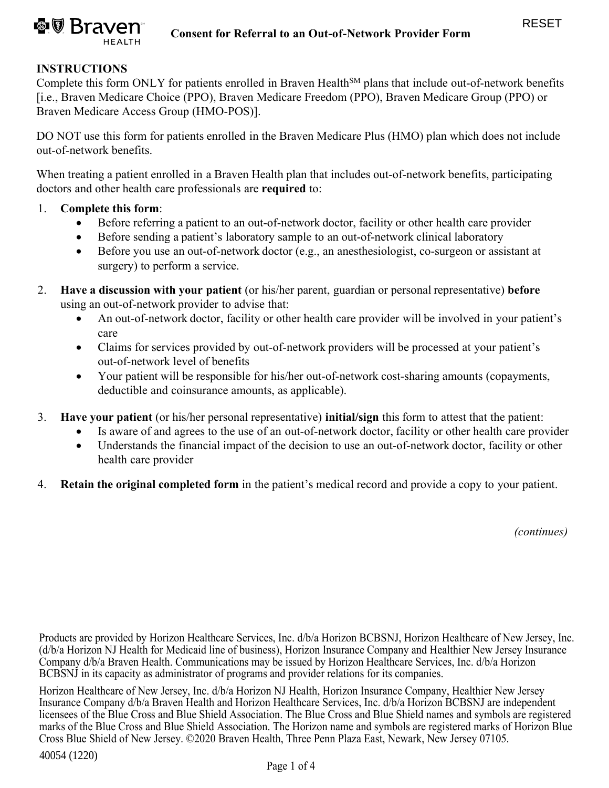

# **INSTRUCTIONS**

Complete this form ONLY for patients enrolled in Braven Health<sup>SM</sup> plans that include out-of-network benefits [i.e., Braven Medicare Choice (PPO), Braven Medicare Freedom (PPO), Braven Medicare Group (PPO) or Braven Medicare Access Group (HMO-POS)].

DO NOT use this form for patients enrolled in the Braven Medicare Plus (HMO) plan which does not include out-of-network benefits.

When treating a patient enrolled in a Braven Health plan that includes out-of-network benefits, participating doctors and other health care professionals are **required** to:

#### 1. **Complete this form**:

- Before referring a patient to an out-of-network doctor, facility or other health care provider
- Before sending a patient's laboratory sample to an out-of-network clinical laboratory
- Before you use an out-of-network doctor (e.g., an anesthesiologist, co-surgeon or assistant at surgery) to perform a service.
- 2. **Have a discussion with your patient** (or his/her parent, guardian or personal representative) **before** using an out-of-network provider to advise that:
	- An out-of-network doctor, facility or other health care provider will be involved in your patient's care
	- Claims for services provided by out-of-network providers will be processed at your patient's out-of-network level of benefits
	- Your patient will be responsible for his/her out-of-network cost-sharing amounts (copayments, deductible and coinsurance amounts, as applicable).
- 3. **Have your patient** (or his/her personal representative) **initial/sign** this form to attest that the patient:
	- Is aware of and agrees to the use of an out-of-network doctor, facility or other health care provider
	- Understands the financial impact of the decision to use an out-of-network doctor, facility or other health care provider
- 4. **Retain the original completed form** in the patient's medical record and provide a copy to your patient.

*(continues)*

Products are provided by Horizon Healthcare Services, Inc. d/b/a Horizon BCBSNJ, Horizon Healthcare of New Jersey, Inc. (d/b/a Horizon NJ Health for Medicaid line of business), Horizon Insurance Company and Healthier New Jersey Insurance Company d/b/a Braven Health. Communications may be issued by Horizon Healthcare Services, Inc. d/b/a Horizon BCBSNJ in its capacity as administrator of programs and provider relations for its companies.

Horizon Healthcare of New Jersey, Inc. d/b/a Horizon NJ Health, Horizon Insurance Company, Healthier New Jersey Insurance Company d/b/a Braven Health and Horizon Healthcare Services, Inc. d/b/a Horizon BCBSNJ are independent licensees of the Blue Cross and Blue Shield Association. The Blue Cross and Blue Shield names and symbols are registered marks of the Blue Cross and Blue Shield Association. The Horizon name and symbols are registered marks of Horizon Blue Cross Blue Shield of New Jersey. ©2020 Braven Health, Three Penn Plaza East, Newark, New Jersey 07105.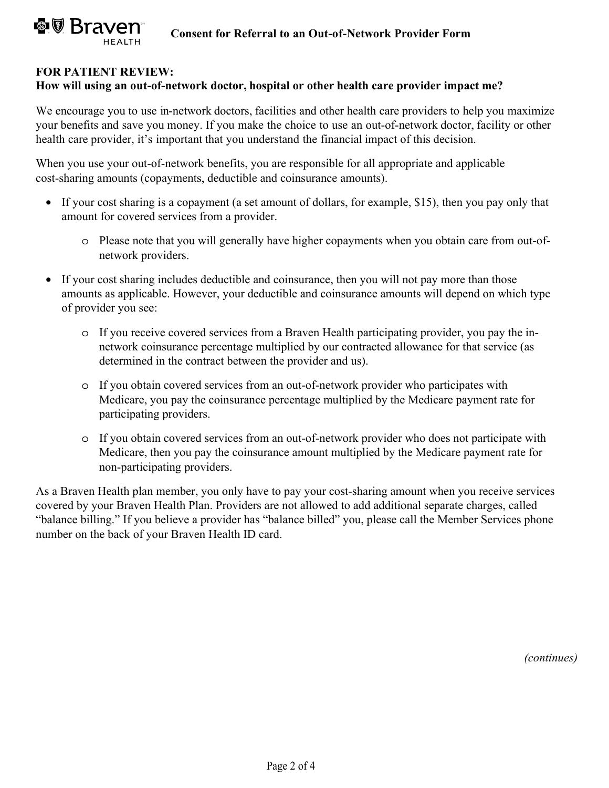### **FOR PATIENT REVIEW:**

#### **How will using an out-of-network doctor, hospital or other health care provider impact me?**

We encourage you to use in-network doctors, facilities and other health care providers to help you maximize your benefits and save you money. If you make the choice to use an out-of-network doctor, facility or other health care provider, it's important that you understand the financial impact of this decision.

When you use your out-of-network benefits, you are responsible for all appropriate and applicable cost-sharing amounts (copayments, deductible and coinsurance amounts).

- If your cost sharing is a copayment (a set amount of dollars, for example, \$15), then you pay only that amount for covered services from a provider.
	- o Please note that you will generally have higher copayments when you obtain care from out-ofnetwork providers.
- If your cost sharing includes deductible and coinsurance, then you will not pay more than those amounts as applicable. However, your deductible and coinsurance amounts will depend on which type of provider you see:
	- o If you receive covered services from a Braven Health participating provider, you pay the innetwork coinsurance percentage multiplied by our contracted allowance for that service (as determined in the contract between the provider and us).
	- o If you obtain covered services from an out-of-network provider who participates with Medicare, you pay the coinsurance percentage multiplied by the Medicare payment rate for participating providers.
	- o If you obtain covered services from an out-of-network provider who does not participate with Medicare, then you pay the coinsurance amount multiplied by the Medicare payment rate for non-participating providers.

As a Braven Health plan member, you only have to pay your cost-sharing amount when you receive services covered by your Braven Health Plan. Providers are not allowed to add additional separate charges, called "balance billing." If you believe a provider has "balance billed" you, please call the Member Services phone number on the back of your Braven Health ID card.

*(continues)*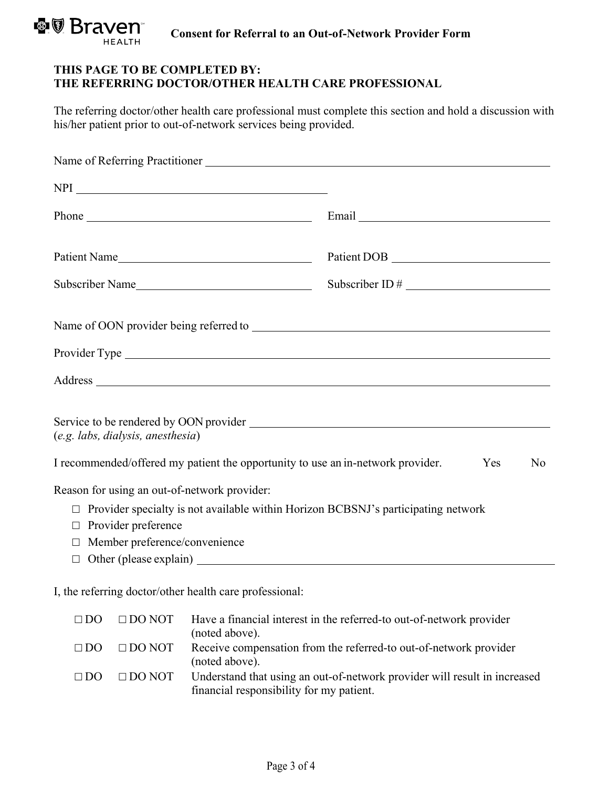

## **THIS PAGE TO BE COMPLETED BY: THE REFERRING DOCTOR/OTHER HEALTH CARE PROFESSIONAL**

The referring doctor/other health care professional must complete this section and hold a discussion with his/her patient prior to out-of-network services being provided.

|                                                                                 | Email                                                                             |
|---------------------------------------------------------------------------------|-----------------------------------------------------------------------------------|
| Patient Name                                                                    |                                                                                   |
| Subscriber Name                                                                 |                                                                                   |
|                                                                                 |                                                                                   |
|                                                                                 |                                                                                   |
|                                                                                 |                                                                                   |
| (e.g. labs, dialysis, anesthesia)                                               |                                                                                   |
| I recommended/offered my patient the opportunity to use an in-network provider. | Yes<br>N <sub>o</sub>                                                             |
| Reason for using an out-of-network provider:                                    |                                                                                   |
|                                                                                 | Provider specialty is not available within Horizon BCBSNJ's participating network |
| Provider preference<br>$\Box$                                                   |                                                                                   |
| Member preference/convenience<br>$\Box$                                         |                                                                                   |
| $\Box$                                                                          |                                                                                   |
|                                                                                 |                                                                                   |

I, the referring doctor/other health care professional:

| $\Box$ DO | $\Box$ DO NOT | Have a financial interest in the referred-to out-of-network provider<br>(noted above).                                |
|-----------|---------------|-----------------------------------------------------------------------------------------------------------------------|
| $\Box$ DO | $\Box$ DO NOT | Receive compensation from the referred-to out-of-network provider<br>(noted above).                                   |
| $\Box$ DO | $\Box$ DO NOT | Understand that using an out-of-network provider will result in increased<br>financial responsibility for my patient. |